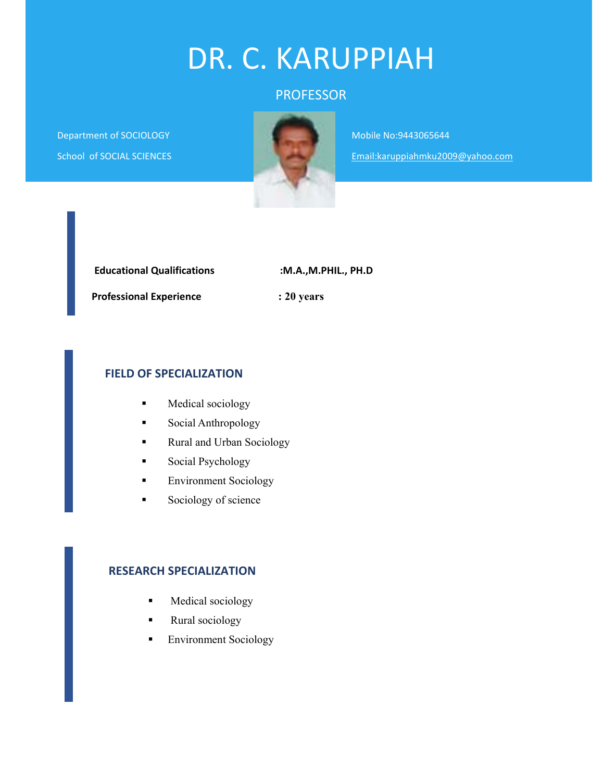# DR. C. KARUPPIAH

# PROFESSOR

Department of SOCIOLOGY School of SOCIAL SCIENCES



Mobile No:9443065644 Email:karuppiahmku2009@yahoo.com

| <b>Educational Qualifications</b> | :M.A.,M.PHIL., PH.D |
|-----------------------------------|---------------------|
| <b>Professional Experience</b>    | $: 20$ years        |

#### **FIELD OF SPECIALIZATION**

- **Medical sociology**
- **Social Anthropology**
- **Rural and Urban Sociology**
- **Social Psychology**
- **Environment Sociology**
- Sociology of science

#### **RESEARCH SPECIALIZATION**

- **Medical sociology**
- **Rural** sociology
- **Environment Sociology**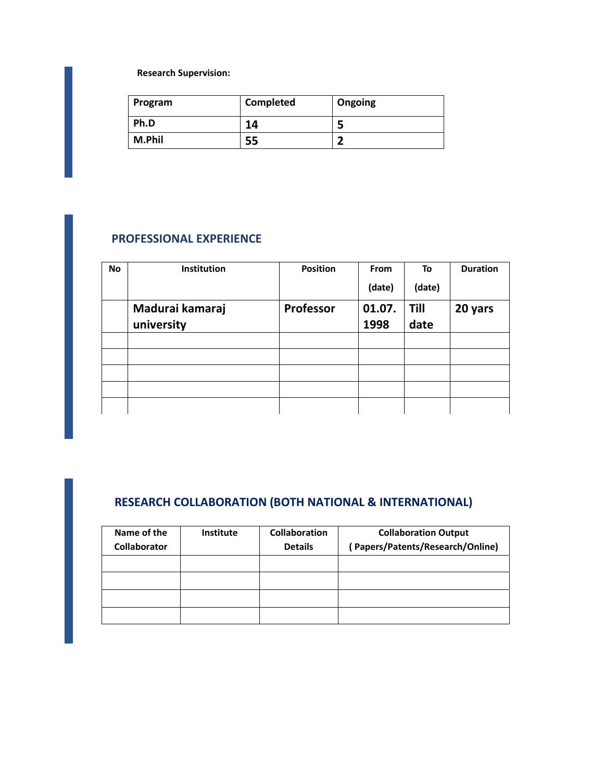**Research Supervision:**

| Program | <b>Completed</b> | Ongoing |
|---------|------------------|---------|
| Ph.D    | 14               |         |
| M.Phil  | 55               | -       |

#### **PROFESSIONAL EXPERIENCE**

| <b>No</b> | Institution     | <b>Position</b> | From   | To     | <b>Duration</b> |
|-----------|-----------------|-----------------|--------|--------|-----------------|
|           |                 |                 | (date) | (date) |                 |
|           | Madurai kamaraj | Professor       | 01.07. | Till   | 20 yars         |
|           | university      |                 | 1998   | date   |                 |
|           |                 |                 |        |        |                 |
|           |                 |                 |        |        |                 |
|           |                 |                 |        |        |                 |
|           |                 |                 |        |        |                 |
|           |                 |                 |        |        |                 |

# **RESEARCH COLLABORATION (BOTH NATIONAL & INTERNATIONAL)**

| Name of the         | <b>Institute</b> | <b>Collaboration</b> | <b>Collaboration Output</b>      |
|---------------------|------------------|----------------------|----------------------------------|
| <b>Collaborator</b> |                  | <b>Details</b>       | (Papers/Patents/Research/Online) |
|                     |                  |                      |                                  |
|                     |                  |                      |                                  |
|                     |                  |                      |                                  |
|                     |                  |                      |                                  |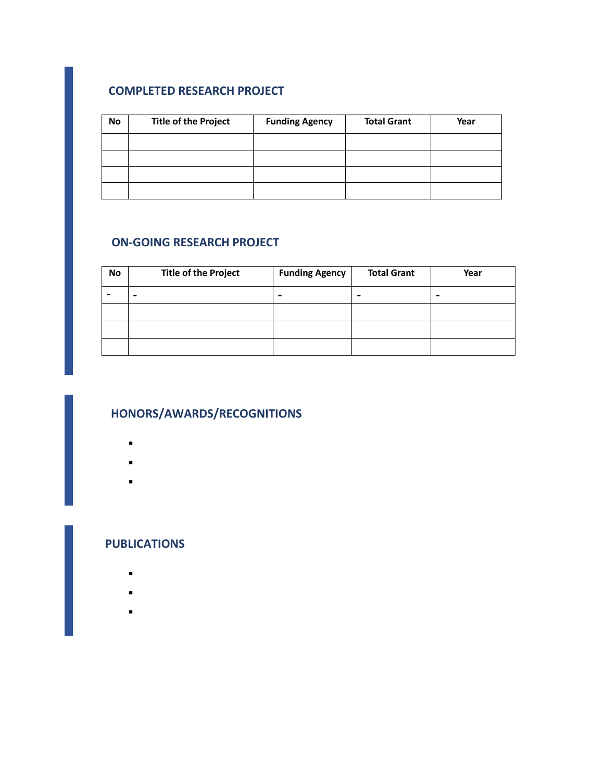## **COMPLETED RESEARCH PROJECT**

| <b>No</b> | <b>Title of the Project</b> | <b>Funding Agency</b> | <b>Total Grant</b> | Year |
|-----------|-----------------------------|-----------------------|--------------------|------|
|           |                             |                       |                    |      |
|           |                             |                       |                    |      |
|           |                             |                       |                    |      |
|           |                             |                       |                    |      |

## **ON‐GOING RESEARCH PROJECT**

| No | <b>Title of the Project</b> | <b>Funding Agency</b> | <b>Total Grant</b>       | Year |
|----|-----------------------------|-----------------------|--------------------------|------|
|    | -                           | $\blacksquare$        | $\overline{\phantom{0}}$ | -    |
|    |                             |                       |                          |      |
|    |                             |                       |                          |      |
|    |                             |                       |                          |      |

## **HONORS/AWARDS/RECOGNITIONS**

- $\blacksquare$
- $\mathbf{L} = \mathbf{L}$
- 
- .

#### **PUBLICATIONS**

- $\blacksquare$
- 
- $\blacksquare$
- $\blacksquare$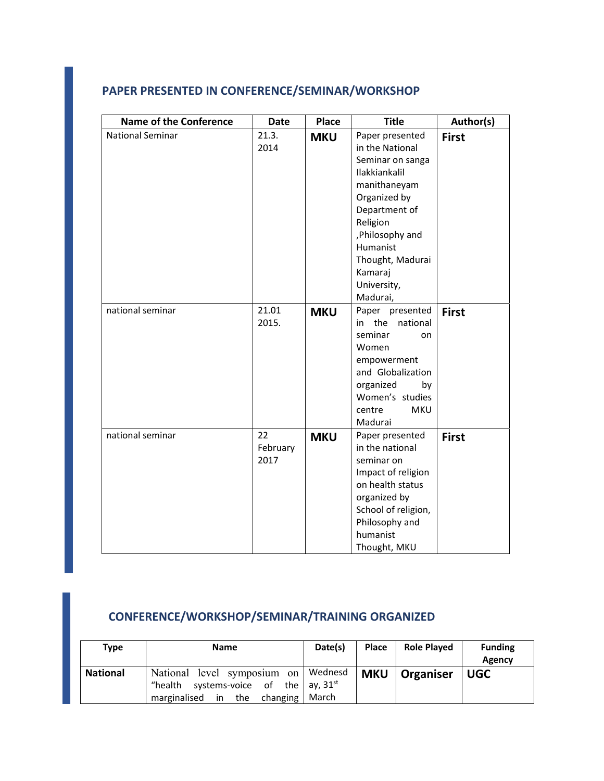# **PAPER PRESENTED IN CONFERENCE/SEMINAR/WORKSHOP**

| <b>Name of the Conference</b> | <b>Date</b>   | <b>Place</b> | <b>Title</b>                                           | Author(s)    |
|-------------------------------|---------------|--------------|--------------------------------------------------------|--------------|
| <b>National Seminar</b>       | 21.3.<br>2014 | <b>MKU</b>   | Paper presented<br>in the National<br>Seminar on sanga | <b>First</b> |
|                               |               |              | Ilakkiankalil                                          |              |
|                               |               |              | manithaneyam                                           |              |
|                               |               |              | Organized by                                           |              |
|                               |               |              | Department of                                          |              |
|                               |               |              | Religion                                               |              |
|                               |               |              | , Philosophy and                                       |              |
|                               |               |              | Humanist<br>Thought, Madurai                           |              |
|                               |               |              | Kamaraj                                                |              |
|                               |               |              | University,                                            |              |
|                               |               |              | Madurai,                                               |              |
| national seminar              | 21.01         | <b>MKU</b>   | Paper presented                                        | <b>First</b> |
|                               | 2015.         |              | in the<br>national                                     |              |
|                               |               |              | seminar<br>on                                          |              |
|                               |               |              | Women                                                  |              |
|                               |               |              | empowerment                                            |              |
|                               |               |              | and Globalization                                      |              |
|                               |               |              | organized<br>by<br>Women's studies                     |              |
|                               |               |              | centre<br><b>MKU</b>                                   |              |
|                               |               |              | Madurai                                                |              |
| national seminar              | 22            | <b>MKU</b>   | Paper presented                                        | <b>First</b> |
|                               | February      |              | in the national                                        |              |
|                               | 2017          |              | seminar on                                             |              |
|                               |               |              | Impact of religion                                     |              |
|                               |               |              | on health status                                       |              |
|                               |               |              | organized by                                           |              |
|                               |               |              | School of religion,                                    |              |
|                               |               |              | Philosophy and                                         |              |
|                               |               |              | humanist                                               |              |
|                               |               |              | Thought, MKU                                           |              |

# **CONFERENCE/WORKSHOP/SEMINAR/TRAINING ORGANIZED**

| <b>Type</b>     | <b>Name</b>                                                                                                       | Date(s) | <b>Place</b> | <b>Role Played</b> | <b>Funding</b><br>Agency |
|-----------------|-------------------------------------------------------------------------------------------------------------------|---------|--------------|--------------------|--------------------------|
| <b>National</b> | National level symposium on Wednesd<br>"health systems-voice of the ay, $31^{st}$<br>marginalised in the changing | March   | <b>MKU</b>   | Organiser          | <b>UGC</b>               |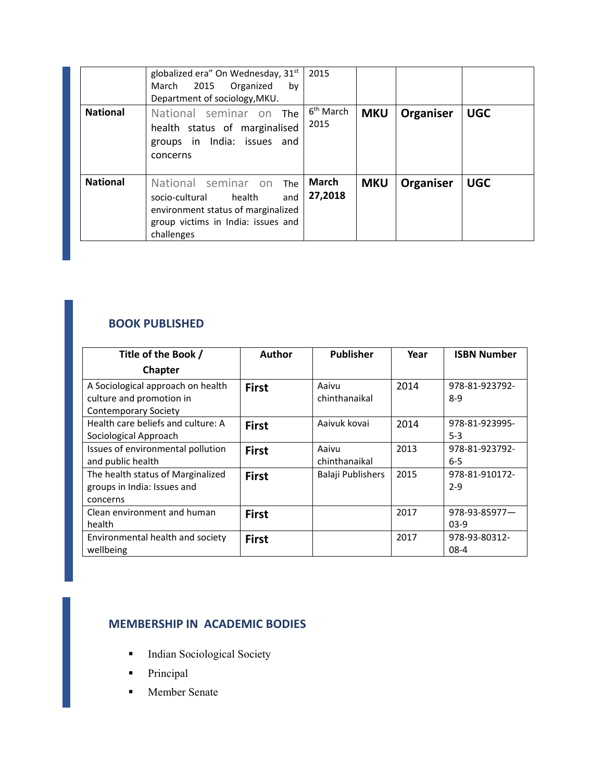|                 | globalized era" On Wednesday, 31st<br>2015<br>Organized<br>March<br>by<br>Department of sociology, MKU.                                                        | 2015                          |            |           |            |
|-----------------|----------------------------------------------------------------------------------------------------------------------------------------------------------------|-------------------------------|------------|-----------|------------|
| <b>National</b> | National seminar on The<br>health status of marginalised<br>groups in India: issues and<br>concerns                                                            | 6 <sup>th</sup> March<br>2015 | <b>MKU</b> | Organiser | <b>UGC</b> |
| <b>National</b> | National seminar on<br><b>The</b><br>health<br>socio-cultural<br>and<br>environment status of marginalized<br>group victims in India: issues and<br>challenges | March<br>27,2018              | <b>MKU</b> | Organiser | <b>UGC</b> |

## **BOOK PUBLISHED**

| Title of the Book /                | <b>Author</b> | <b>Publisher</b>  | Year | <b>ISBN Number</b>   |
|------------------------------------|---------------|-------------------|------|----------------------|
| Chapter                            |               |                   |      |                      |
| A Sociological approach on health  | <b>First</b>  | Aaivu             | 2014 | 978-81-923792-       |
| culture and promotion in           |               | chinthanaikal     |      | $8-9$                |
| <b>Contemporary Society</b>        |               |                   |      |                      |
| Health care beliefs and culture: A | <b>First</b>  | Aaivuk kovai      | 2014 | 978-81-923995-       |
| Sociological Approach              |               |                   |      | $5-3$                |
| Issues of environmental pollution  | <b>First</b>  | Aaivu             | 2013 | 978-81-923792-       |
| and public health                  |               | chinthanaikal     |      | $6 - 5$              |
| The health status of Marginalized  | <b>First</b>  | Balaji Publishers | 2015 | 978-81-910172-       |
| groups in India: Issues and        |               |                   |      | $2 - 9$              |
| concerns                           |               |                   |      |                      |
| Clean environment and human        | <b>First</b>  |                   | 2017 | $978 - 93 - 85977$ – |
| health                             |               |                   |      | $03-9$               |
| Environmental health and society   | <b>First</b>  |                   | 2017 | 978-93-80312-        |
| wellbeing                          |               |                   |      | $08-4$               |

# **MEMBERSHIP IN ACADEMIC BODIES**

- **Indian Sociological Society**
- **•** Principal
- Member Senate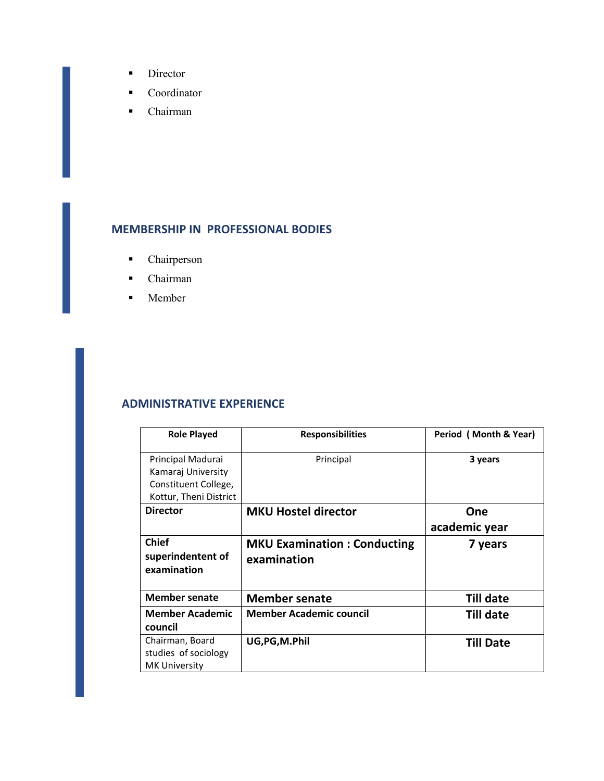- **Director**
- **Coordinator**
- Chairman

#### **MEMBERSHIP IN PROFESSIONAL BODIES**

- **-** Chairperson
- Chairman
- **Member**

#### **ADMINISTRATIVE EXPERIENCE**

| <b>Role Played</b>                                                                        | <b>Responsibilities</b>                           | Period (Month & Year) |
|-------------------------------------------------------------------------------------------|---------------------------------------------------|-----------------------|
| Principal Madurai<br>Kamaraj University<br>Constituent College,<br>Kottur, Theni District | Principal                                         | 3 years               |
| <b>Director</b>                                                                           | <b>MKU Hostel director</b>                        | One<br>academic year  |
| <b>Chief</b><br>superindentent of<br>examination                                          | <b>MKU Examination: Conducting</b><br>examination | 7 years               |
| <b>Member senate</b>                                                                      | <b>Member senate</b>                              | <b>Till date</b>      |
| <b>Member Academic</b><br>council                                                         | <b>Member Academic council</b>                    | Till date             |
| Chairman, Board<br>studies of sociology<br><b>MK University</b>                           | UG, PG, M. Phil                                   | <b>Till Date</b>      |